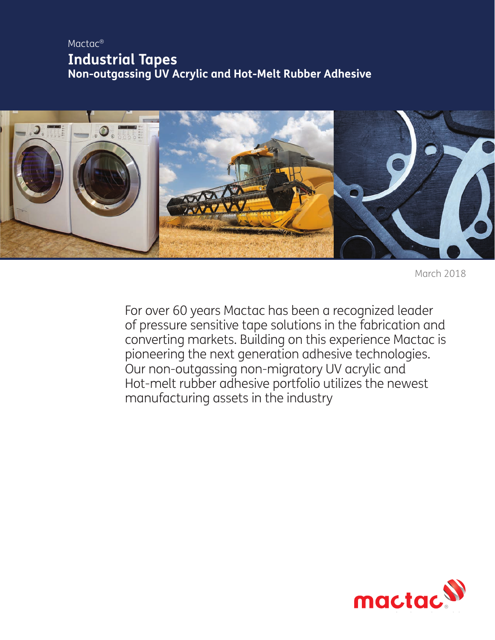# Mactac® **Industrial Tapes Non-outgassing UV Acrylic and Hot-Melt Rubber Adhesive**



March 2018

For over 60 years Mactac has been a recognized leader of pressure sensitive tape solutions in the fabrication and converting markets. Building on this experience Mactac is pioneering the next generation adhesive technologies. Our non-outgassing non-migratory UV acrylic and Hot-melt rubber adhesive portfolio utilizes the newest manufacturing assets in the industry

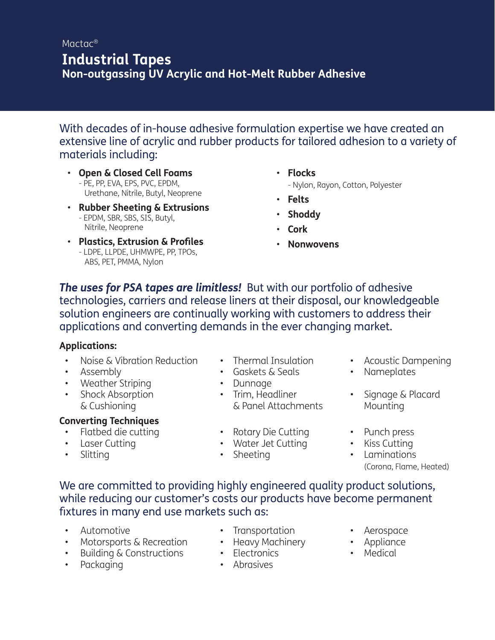## Mactac® **Industrial Tapes Non-outgassing UV Acrylic and Hot-Melt Rubber Adhesive**

With decades of in-house adhesive formulation expertise we have created an extensive line of acrylic and rubber products for tailored adhesion to a variety of materials including:

- **Open & Closed Cell Foams** - PE, PP, EVA, EPS, PVC, EPDM, Urethane, Nitrile, Butyl, Neoprene
- **Rubber Sheeting & Extrusions** - EPDM, SBR, SBS, SIS, Butyl, Nitrile, Neoprene
- **Plastics, Extrusion & Profiles** - LDPE, LLPDE, UHMWPE, PP, TPOs, ABS, PET, PMMA, Nylon
- **Flocks** - Nylon, Rayon, Cotton, Polyester
- **Felts**
- **Shoddy**
- **Cork**
- **Nonwovens**

*The uses for PSA tapes are limitless!* But with our portfolio of adhesive technologies, carriers and release liners at their disposal, our knowledgeable solution engineers are continually working with customers to address their applications and converting demands in the ever changing market.

### **Applications:**

- Noise & Vibration Reduction Thermal Insulation Acoustic Dampening
- 
- Weather Striping Dunnage
- 

## **Converting Techniques**

- Flatbed die cutting Rotary Die Cutting Punch press
- 
- 
- -
- 
- & Cushioning & Panel Attachments Mounting
	-
- Laser Cutting Water Jet Cutting Kiss Cutting
	-
- 
- Assembly Gaskets & Seals Nameplates
- Shock Absorption Trim, Headliner Signage & Placard
	-
	-
	- Slitting Sheeting Laminations (Corona, Flame, Heated)

We are committed to providing highly engineered quality product solutions, while reducing our customer's costs our products have become permanent fixtures in many end use markets such as:

- 
- Motorsports & Recreation Heavy Machinery Appliance
- Building & Constructions Electronics Medical
- Packaging Abrasives
- 
- Automotive Transportation Aerospace
	-
	-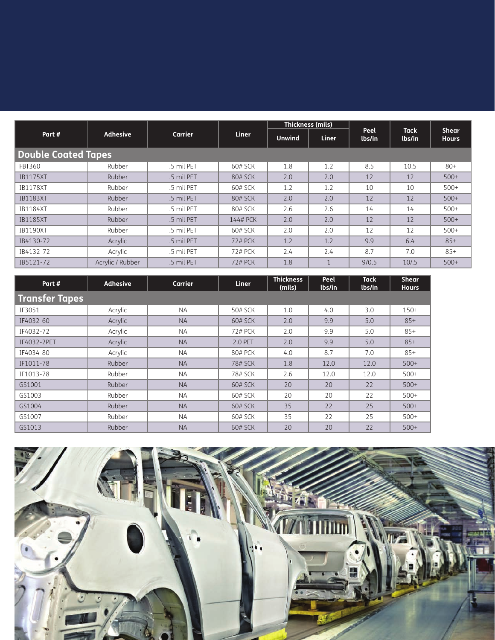|                            | <b>Adhesive</b>  | Carrier    | <b>Liner</b> | Thickness (mils) |              | Peel   | <b>Tack</b> | <b>Shear</b> |  |  |  |  |
|----------------------------|------------------|------------|--------------|------------------|--------------|--------|-------------|--------------|--|--|--|--|
| Part#                      |                  |            |              | <b>Unwind</b>    | <b>Liner</b> | lbs/in | lbs/in      | <b>Hours</b> |  |  |  |  |
| <b>Double Coated Tapes</b> |                  |            |              |                  |              |        |             |              |  |  |  |  |
| FBT360                     | Rubber           | .5 mil PET | 60# SCK      | 1.8              | 1.2          | 8.5    | 10.5        | $80+$        |  |  |  |  |
| <b>IB1175XT</b>            | Rubber           | .5 mil PET | 80# SCK      | 2.0              | 2.0          | 12     | 12          | $500+$       |  |  |  |  |
| <b>IB1178XT</b>            | Rubber           | .5 mil PET | 60# SCK      | 1.2              | 1.2          | 10     | 10          | $500+$       |  |  |  |  |
| <b>IB1183XT</b>            | Rubber           | .5 mil PET | 80# SCK      | 2.0              | 2.0          | 12     | 12          | $500+$       |  |  |  |  |
| <b>IB1184XT</b>            | Rubber           | .5 mil PET | 80# SCK      | 2.6              | 2.6          | 14     | 14          | $500+$       |  |  |  |  |
| <b>IB1185XT</b>            | Rubber           | .5 mil PET | 144# PCK     | 2.0              | 2.0          | 12     | 12          | $500+$       |  |  |  |  |
| <b>IB1190XT</b>            | Rubber           | .5 mil PET | 60# SCK      | 2.0              | 2.0          | 12     | 12          | $500+$       |  |  |  |  |
| IB4130-72                  | Acrylic          | .5 mil PET | 72# PCK      | 1.2              | 1.2          | 9.9    | 6.4         | $85+$        |  |  |  |  |
| IB4132-72                  | Acrylic          | .5 mil PET | 72# PCK      | 2.4              | 2.4          | 8.7    | 7.0         | $85+$        |  |  |  |  |
| IB5121-72                  | Acrylic / Rubber | .5 mil PET | 72# PCK      | 1.8              |              | 9/0.5  | 10/5        | $500+$       |  |  |  |  |

| Part #                | <b>Adhesive</b> | Carrier   | <b>Liner</b>   | <b>Thickness</b><br>(mils) | Peel<br>lbs/in | <b>Tack</b><br>lbs/in | <b>Shear</b><br><b>Hours</b> |  |  |  |  |  |  |
|-----------------------|-----------------|-----------|----------------|----------------------------|----------------|-----------------------|------------------------------|--|--|--|--|--|--|
| <b>Transfer Tapes</b> |                 |           |                |                            |                |                       |                              |  |  |  |  |  |  |
| IF3051                | Acrylic         | <b>NA</b> | 50# SCK        | 1.0                        | 4.0            | 3.0                   | $150+$                       |  |  |  |  |  |  |
| IF4032-60             | Acrylic         | <b>NA</b> | 60# SCK        | 2.0                        | 9.9            | 5.0                   | $85+$                        |  |  |  |  |  |  |
| IF4032-72             | Acrylic         | <b>NA</b> | 72# PCK        | 2.0                        | 9.9            | 5.0                   | $85+$                        |  |  |  |  |  |  |
| IF4032-2PET           | Acrylic         | <b>NA</b> | 2.0 PET        | 2.0                        | 9.9            | 5.0                   | $85+$                        |  |  |  |  |  |  |
| IF4034-80             | Acrylic         | <b>NA</b> | 80# PCK        | 4.0                        | 8.7            | 7.0                   | $85+$                        |  |  |  |  |  |  |
| IF1011-78             | Rubber          | <b>NA</b> | 78# SCK        | 1.8                        | 12.0           | 12.0                  | $500+$                       |  |  |  |  |  |  |
| IF1013-78             | Rubber          | <b>NA</b> | 78# SCK        | 2.6                        | 12.0           | 12.0                  | $500+$                       |  |  |  |  |  |  |
| GS1001                | Rubber          | <b>NA</b> | 60# SCK        | 20                         | 20             | 22                    | $500+$                       |  |  |  |  |  |  |
| GS1003                | Rubber          | <b>NA</b> | 60# SCK        | 20                         | 20             | 22                    | $500+$                       |  |  |  |  |  |  |
| GS1004                | Rubber          | <b>NA</b> | <b>60# SCK</b> | 35                         | 22             | 25                    | $500+$                       |  |  |  |  |  |  |
| GS1007                | Rubber          | <b>NA</b> | 60# SCK        | 35                         | 22             | 25                    | $500+$                       |  |  |  |  |  |  |
| GS1013                | Rubber          | <b>NA</b> | <b>60# SCK</b> | 20                         | 20             | 22                    | $500+$                       |  |  |  |  |  |  |